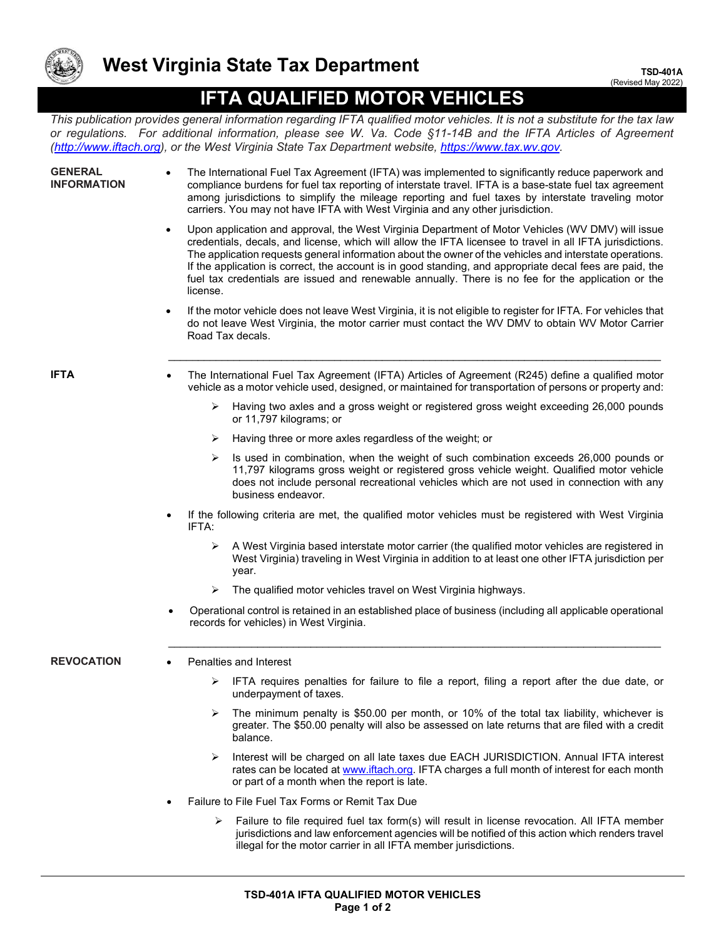

## **IFTA QUALIFIED MOTOR VEHICLES**

*This publication provides general information regarding IFTA qualified motor vehicles. It is not a substitute for the tax law or regulations. For additional information, please see W. Va. Code §11-14B and the IFTA Articles of Agreement [\(http://www.iftach.org\)](http://www.iftach.org/), or the West Virginia State Tax Department website, [https://www.tax.wv.gov.](https://www.tax.wv.gov/)* 

| <b>GENERAL</b><br><b>INFORMATION</b> | The International Fuel Tax Agreement (IFTA) was implemented to significantly reduce paperwork and<br>compliance burdens for fuel tax reporting of interstate travel. IFTA is a base-state fuel tax agreement<br>among jurisdictions to simplify the mileage reporting and fuel taxes by interstate traveling motor<br>carriers. You may not have IFTA with West Virginia and any other jurisdiction.                                                                                                                                                    |
|--------------------------------------|---------------------------------------------------------------------------------------------------------------------------------------------------------------------------------------------------------------------------------------------------------------------------------------------------------------------------------------------------------------------------------------------------------------------------------------------------------------------------------------------------------------------------------------------------------|
|                                      | Upon application and approval, the West Virginia Department of Motor Vehicles (WV DMV) will issue<br>credentials, decals, and license, which will allow the IFTA licensee to travel in all IFTA jurisdictions.<br>The application requests general information about the owner of the vehicles and interstate operations.<br>If the application is correct, the account is in good standing, and appropriate decal fees are paid, the<br>fuel tax credentials are issued and renewable annually. There is no fee for the application or the<br>license. |
|                                      | If the motor vehicle does not leave West Virginia, it is not eligible to register for IFTA. For vehicles that<br>do not leave West Virginia, the motor carrier must contact the WV DMV to obtain WV Motor Carrier<br>Road Tax decals.                                                                                                                                                                                                                                                                                                                   |
| IFTA                                 | The International Fuel Tax Agreement (IFTA) Articles of Agreement (R245) define a qualified motor<br>vehicle as a motor vehicle used, designed, or maintained for transportation of persons or property and:                                                                                                                                                                                                                                                                                                                                            |
|                                      | Having two axles and a gross weight or registered gross weight exceeding 26,000 pounds<br>➤<br>or 11,797 kilograms; or                                                                                                                                                                                                                                                                                                                                                                                                                                  |
|                                      | Having three or more axles regardless of the weight; or<br>➤                                                                                                                                                                                                                                                                                                                                                                                                                                                                                            |
|                                      | Is used in combination, when the weight of such combination exceeds 26,000 pounds or<br>➤<br>11,797 kilograms gross weight or registered gross vehicle weight. Qualified motor vehicle<br>does not include personal recreational vehicles which are not used in connection with any<br>business endeavor.                                                                                                                                                                                                                                               |
|                                      | If the following criteria are met, the qualified motor vehicles must be registered with West Virginia<br>IFTA:                                                                                                                                                                                                                                                                                                                                                                                                                                          |
|                                      | A West Virginia based interstate motor carrier (the qualified motor vehicles are registered in<br>➤<br>West Virginia) traveling in West Virginia in addition to at least one other IFTA jurisdiction per<br>year.                                                                                                                                                                                                                                                                                                                                       |
|                                      | The qualified motor vehicles travel on West Virginia highways.<br>➤                                                                                                                                                                                                                                                                                                                                                                                                                                                                                     |
|                                      | Operational control is retained in an established place of business (including all applicable operational<br>$\bullet$<br>records for vehicles) in West Virginia.                                                                                                                                                                                                                                                                                                                                                                                       |
| <b>REVOCATION</b>                    | Penalties and Interest                                                                                                                                                                                                                                                                                                                                                                                                                                                                                                                                  |
|                                      | IFTA requires penalties for failure to file a report, filing a report after the due date, or<br>➤<br>underpayment of taxes.                                                                                                                                                                                                                                                                                                                                                                                                                             |
|                                      | The minimum penalty is \$50.00 per month, or 10% of the total tax liability, whichever is<br>➤<br>greater. The \$50.00 penalty will also be assessed on late returns that are filed with a credit<br>balance.                                                                                                                                                                                                                                                                                                                                           |
|                                      | Interest will be charged on all late taxes due EACH JURISDICTION. Annual IFTA interest<br>➤<br>rates can be located at www.iftach.org. IFTA charges a full month of interest for each month<br>or part of a month when the report is late.                                                                                                                                                                                                                                                                                                              |
|                                      | Failure to File Fuel Tax Forms or Remit Tax Due                                                                                                                                                                                                                                                                                                                                                                                                                                                                                                         |
|                                      | Failure to file required fuel tax form(s) will result in license revocation. All IFTA member<br>➤<br>jurisdictions and law enforcement agencies will be notified of this action which renders travel<br>illegal for the motor carrier in all IFTA member jurisdictions.                                                                                                                                                                                                                                                                                 |